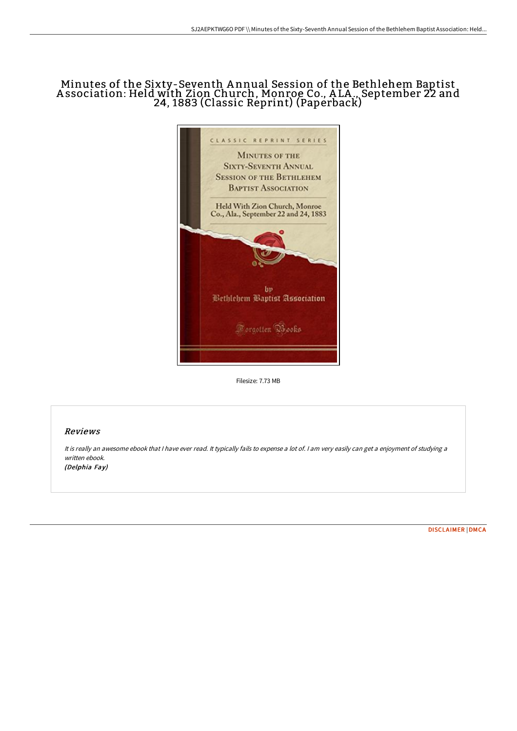## Minutes of the Sixty-Seventh A nnual Session of the Bethlehem Baptist A ssociation: Held with Zion Church, Monroe Co., A LA ., September 22 and 24, 1883 (Classic Reprint) (Paperback)



Filesize: 7.73 MB

## Reviews

It is really an awesome ebook that <sup>I</sup> have ever read. It typically fails to expense <sup>a</sup> lot of. <sup>I</sup> am very easily can get <sup>a</sup> enjoyment of studying <sup>a</sup> written ebook. (Delphia Fay)

[DISCLAIMER](http://albedo.media/disclaimer.html) | [DMCA](http://albedo.media/dmca.html)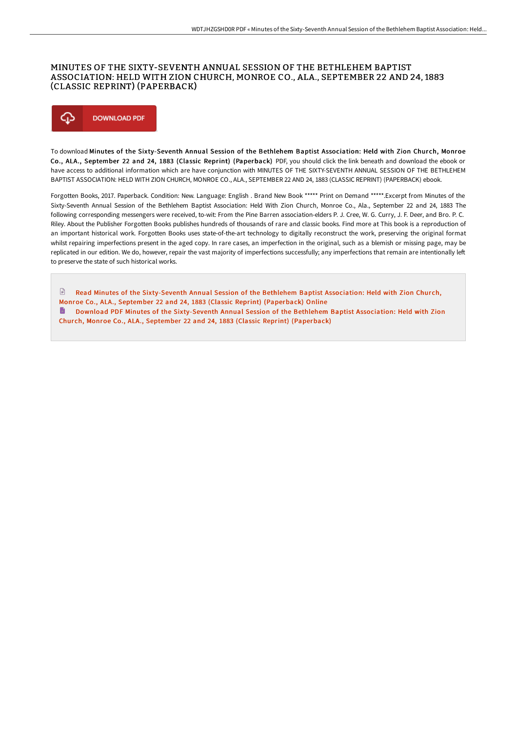## MINUTES OF THE SIXTY-SEVENTH ANNUAL SESSION OF THE BETHLEHEM BAPTIST ASSOCIATION: HELD WITH ZION CHURCH, MONROE CO., ALA., SEPTEMBER 22 AND 24, 1883 (CLASSIC REPRINT) (PAPERBACK)



To download Minutes of the Sixty-Seventh Annual Session of the Bethlehem Baptist Association: Held with Zion Church, Monroe Co., ALA., September 22 and 24, 1883 (Classic Reprint) (Paperback) PDF, you should click the link beneath and download the ebook or have access to additional information which are have conjunction with MINUTES OF THE SIXTY-SEVENTH ANNUAL SESSION OF THE BETHLEHEM BAPTIST ASSOCIATION: HELD WITH ZION CHURCH, MONROE CO., ALA., SEPTEMBER 22 AND 24, 1883 (CLASSIC REPRINT) (PAPERBACK) ebook.

Forgotten Books, 2017. Paperback. Condition: New. Language: English . Brand New Book \*\*\*\*\* Print on Demand \*\*\*\*\*.Excerpt from Minutes of the Sixty-Seventh Annual Session of the Bethlehem Baptist Association: Held With Zion Church, Monroe Co., Ala., September 22 and 24, 1883 The following corresponding messengers were received, to-wit: From the Pine Barren association-elders P. J. Cree, W. G. Curry, J. F. Deer, and Bro. P. C. Riley. About the Publisher Forgotten Books publishes hundreds of thousands of rare and classic books. Find more at This book is a reproduction of an important historical work. Forgotten Books uses state-of-the-art technology to digitally reconstruct the work, preserving the original format whilst repairing imperfections present in the aged copy. In rare cases, an imperfection in the original, such as a blemish or missing page, may be replicated in our edition. We do, however, repair the vast majority of imperfections successfully; any imperfections that remain are intentionally left to preserve the state of such historical works.

 $\mathbf{r}$ Read Minutes of the [Sixty-Seventh](http://albedo.media/minutes-of-the-sixty-seventh-annual-session-of-t.html) Annual Session of the Bethlehem Baptist Association: Held with Zion Church, Monroe Co., ALA., September 22 and 24, 1883 (Classic Reprint) (Paperback) Online

Download PDF Minutes of the [Sixty-Seventh](http://albedo.media/minutes-of-the-sixty-seventh-annual-session-of-t.html) Annual Session of the Bethlehem Baptist Association: Held with Zion Church, Monroe Co., ALA., September 22 and 24, 1883 (Classic Reprint) (Paperback)